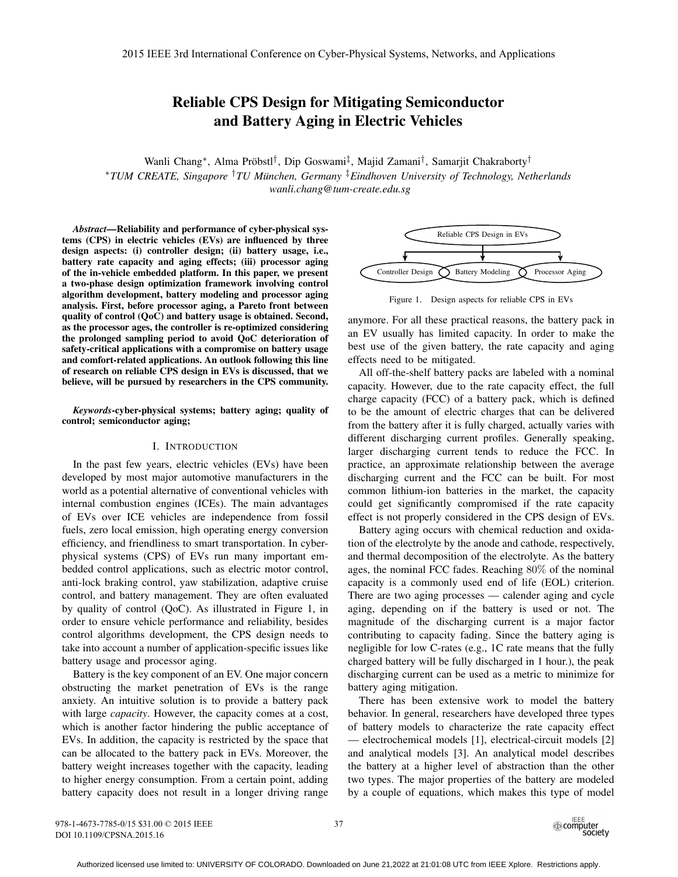# Reliable CPS Design for Mitigating Semiconductor and Battery Aging in Electric Vehicles

Wanli Chang<sup>∗</sup>, Alma Pröbstl<sup>†</sup>, Dip Goswami<sup>‡</sup>, Majid Zamani<sup>†</sup>, Samarjit Chakraborty<sup>†</sup>

∗*TUM CREATE, Singapore* †*TU Munchen, Germany ¨* ‡*Eindhoven University of Technology, Netherlands wanli.chang@tum-create.edu.sg*

*Abstract*—Reliability and performance of cyber-physical systems (CPS) in electric vehicles (EVs) are influenced by three design aspects: (i) controller design; (ii) battery usage, i.e., battery rate capacity and aging effects; (iii) processor aging of the in-vehicle embedded platform. In this paper, we present a two-phase design optimization framework involving control algorithm development, battery modeling and processor aging analysis. First, before processor aging, a Pareto front between quality of control (QoC) and battery usage is obtained. Second, as the processor ages, the controller is re-optimized considering the prolonged sampling period to avoid QoC deterioration of safety-critical applications with a compromise on battery usage and comfort-related applications. An outlook following this line of research on reliable CPS design in EVs is discussed, that we believe, will be pursued by researchers in the CPS community.

*Keywords*-cyber-physical systems; battery aging; quality of control; semiconductor aging;

#### I. INTRODUCTION

In the past few years, electric vehicles (EVs) have been developed by most major automotive manufacturers in the world as a potential alternative of conventional vehicles with internal combustion engines (ICEs). The main advantages of EVs over ICE vehicles are independence from fossil fuels, zero local emission, high operating energy conversion efficiency, and friendliness to smart transportation. In cyberphysical systems (CPS) of EVs run many important embedded control applications, such as electric motor control, anti-lock braking control, yaw stabilization, adaptive cruise control, and battery management. They are often evaluated by quality of control (QoC). As illustrated in Figure 1, in order to ensure vehicle performance and reliability, besides control algorithms development, the CPS design needs to take into account a number of application-specific issues like battery usage and processor aging.

Battery is the key component of an EV. One major concern obstructing the market penetration of EVs is the range anxiety. An intuitive solution is to provide a battery pack with large *capacity*. However, the capacity comes at a cost, which is another factor hindering the public acceptance of EVs. In addition, the capacity is restricted by the space that can be allocated to the battery pack in EVs. Moreover, the battery weight increases together with the capacity, leading to higher energy consumption. From a certain point, adding battery capacity does not result in a longer driving range



Figure 1. Design aspects for reliable CPS in EVs

anymore. For all these practical reasons, the battery pack in an EV usually has limited capacity. In order to make the best use of the given battery, the rate capacity and aging effects need to be mitigated.

All off-the-shelf battery packs are labeled with a nominal capacity. However, due to the rate capacity effect, the full charge capacity (FCC) of a battery pack, which is defined to be the amount of electric charges that can be delivered from the battery after it is fully charged, actually varies with different discharging current profiles. Generally speaking, larger discharging current tends to reduce the FCC. In practice, an approximate relationship between the average discharging current and the FCC can be built. For most common lithium-ion batteries in the market, the capacity could get significantly compromised if the rate capacity effect is not properly considered in the CPS design of EVs.

Battery aging occurs with chemical reduction and oxidation of the electrolyte by the anode and cathode, respectively, and thermal decomposition of the electrolyte. As the battery ages, the nominal FCC fades. Reaching 80% of the nominal capacity is a commonly used end of life (EOL) criterion. There are two aging processes — calender aging and cycle aging, depending on if the battery is used or not. The magnitude of the discharging current is a major factor contributing to capacity fading. Since the battery aging is negligible for low C-rates (e.g., 1C rate means that the fully charged battery will be fully discharged in 1 hour.), the peak discharging current can be used as a metric to minimize for battery aging mitigation.

There has been extensive work to model the battery behavior. In general, researchers have developed three types of battery models to characterize the rate capacity effect — electrochemical models [1], electrical-circuit models [2] and analytical models [3]. An analytical model describes the battery at a higher level of abstraction than the other two types. The major properties of the battery are modeled by a couple of equations, which makes this type of model

978-1-4673-7785-0/15 \$31.00 © 2015 IEEE DOI 10.1109/CPSNA.2015.16

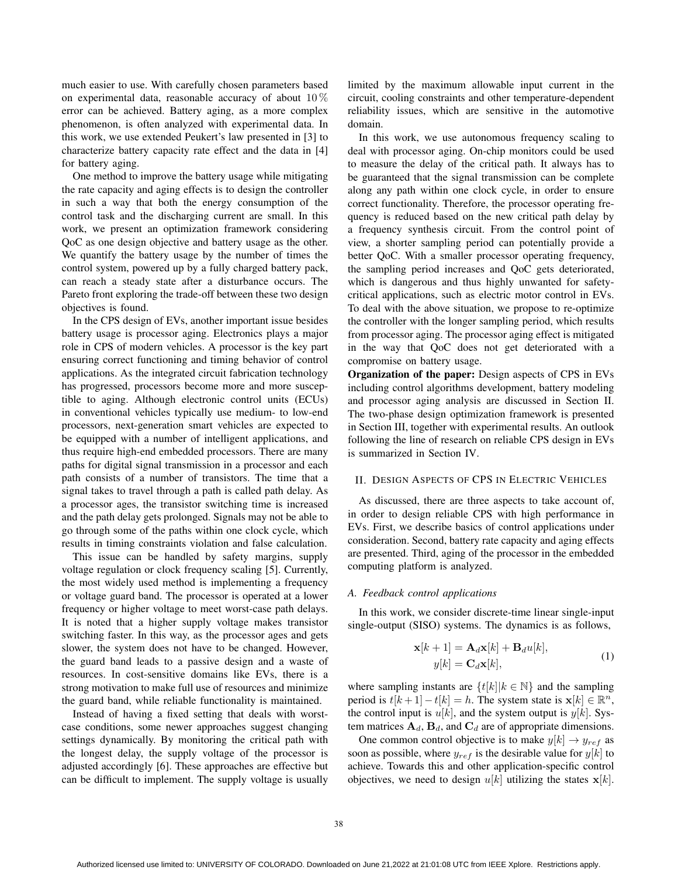much easier to use. With carefully chosen parameters based on experimental data, reasonable accuracy of about 10 % error can be achieved. Battery aging, as a more complex phenomenon, is often analyzed with experimental data. In this work, we use extended Peukert's law presented in [3] to characterize battery capacity rate effect and the data in [4] for battery aging.

One method to improve the battery usage while mitigating the rate capacity and aging effects is to design the controller in such a way that both the energy consumption of the control task and the discharging current are small. In this work, we present an optimization framework considering QoC as one design objective and battery usage as the other. We quantify the battery usage by the number of times the control system, powered up by a fully charged battery pack, can reach a steady state after a disturbance occurs. The Pareto front exploring the trade-off between these two design objectives is found.

In the CPS design of EVs, another important issue besides battery usage is processor aging. Electronics plays a major role in CPS of modern vehicles. A processor is the key part ensuring correct functioning and timing behavior of control applications. As the integrated circuit fabrication technology has progressed, processors become more and more susceptible to aging. Although electronic control units (ECUs) in conventional vehicles typically use medium- to low-end processors, next-generation smart vehicles are expected to be equipped with a number of intelligent applications, and thus require high-end embedded processors. There are many paths for digital signal transmission in a processor and each path consists of a number of transistors. The time that a signal takes to travel through a path is called path delay. As a processor ages, the transistor switching time is increased and the path delay gets prolonged. Signals may not be able to go through some of the paths within one clock cycle, which results in timing constraints violation and false calculation.

This issue can be handled by safety margins, supply voltage regulation or clock frequency scaling [5]. Currently, the most widely used method is implementing a frequency or voltage guard band. The processor is operated at a lower frequency or higher voltage to meet worst-case path delays. It is noted that a higher supply voltage makes transistor switching faster. In this way, as the processor ages and gets slower, the system does not have to be changed. However, the guard band leads to a passive design and a waste of resources. In cost-sensitive domains like EVs, there is a strong motivation to make full use of resources and minimize the guard band, while reliable functionality is maintained.

Instead of having a fixed setting that deals with worstcase conditions, some newer approaches suggest changing settings dynamically. By monitoring the critical path with the longest delay, the supply voltage of the processor is adjusted accordingly [6]. These approaches are effective but can be difficult to implement. The supply voltage is usually limited by the maximum allowable input current in the circuit, cooling constraints and other temperature-dependent reliability issues, which are sensitive in the automotive domain.

In this work, we use autonomous frequency scaling to deal with processor aging. On-chip monitors could be used to measure the delay of the critical path. It always has to be guaranteed that the signal transmission can be complete along any path within one clock cycle, in order to ensure correct functionality. Therefore, the processor operating frequency is reduced based on the new critical path delay by a frequency synthesis circuit. From the control point of view, a shorter sampling period can potentially provide a better QoC. With a smaller processor operating frequency, the sampling period increases and QoC gets deteriorated, which is dangerous and thus highly unwanted for safetycritical applications, such as electric motor control in EVs. To deal with the above situation, we propose to re-optimize the controller with the longer sampling period, which results from processor aging. The processor aging effect is mitigated in the way that QoC does not get deteriorated with a compromise on battery usage.

Organization of the paper: Design aspects of CPS in EVs including control algorithms development, battery modeling and processor aging analysis are discussed in Section II. The two-phase design optimization framework is presented in Section III, together with experimental results. An outlook following the line of research on reliable CPS design in EVs is summarized in Section IV.

## II. DESIGN ASPECTS OF CPS IN ELECTRIC VEHICLES

As discussed, there are three aspects to take account of, in order to design reliable CPS with high performance in EVs. First, we describe basics of control applications under consideration. Second, battery rate capacity and aging effects are presented. Third, aging of the processor in the embedded computing platform is analyzed.

## *A. Feedback control applications*

In this work, we consider discrete-time linear single-input single-output (SISO) systems. The dynamics is as follows,

$$
\mathbf{x}[k+1] = \mathbf{A}_d \mathbf{x}[k] + \mathbf{B}_d u[k],
$$
  
\n
$$
y[k] = \mathbf{C}_d \mathbf{x}[k],
$$
\n(1)

where sampling instants are  $\{t[k]|k \in \mathbb{N}\}\$  and the sampling period is  $t[k+1]-t[k] = h$ . The system state is  $\mathbf{x}[k] \in \mathbb{R}^n$ , the control input is  $u[k]$ , and the system output is  $y[k]$ . System matrices  $A_d$ ,  $B_d$ , and  $C_d$  are of appropriate dimensions.

One common control objective is to make  $y[k] \rightarrow y_{ref}$  as soon as possible, where  $y_{ref}$  is the desirable value for  $y[k]$  to achieve. Towards this and other application-specific control objectives, we need to design  $u[k]$  utilizing the states  $\mathbf{x}[k]$ .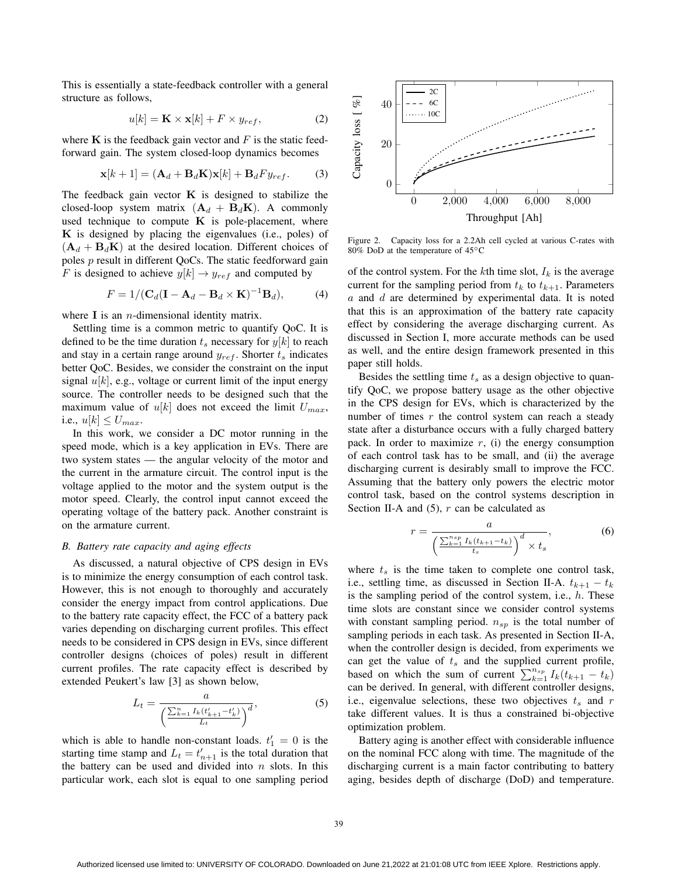This is essentially a state-feedback controller with a general structure as follows,

$$
u[k] = \mathbf{K} \times \mathbf{x}[k] + F \times y_{ref}, \tag{2}
$$

where  $\bf{K}$  is the feedback gain vector and  $\bf{F}$  is the static feedforward gain. The system closed-loop dynamics becomes

$$
\mathbf{x}[k+1] = (\mathbf{A}_d + \mathbf{B}_d \mathbf{K})\mathbf{x}[k] + \mathbf{B}_d F y_{ref}.
$$
 (3)

The feedback gain vector  $\bf{K}$  is designed to stabilize the closed-loop system matrix  $(A_d + B_dK)$ . A commonly used technique to compute  $K$  is pole-placement, where **K** is designed by placing the eigenvalues (i.e., poles) of  $({\bf A}_d + {\bf B}_d {\bf K})$  at the desired location. Different choices of poles p result in different QoCs. The static feedforward gain F is designed to achieve  $y[k] \rightarrow y_{ref}$  and computed by

$$
F = 1/(\mathbf{C}_d(\mathbf{I} - \mathbf{A}_d - \mathbf{B}_d \times \mathbf{K})^{-1} \mathbf{B}_d),
$$
 (4)

where  $\bf{I}$  is an *n*-dimensional identity matrix.

Settling time is a common metric to quantify QoC. It is defined to be the time duration  $t_s$  necessary for  $y[k]$  to reach and stay in a certain range around  $y_{ref}$ . Shorter  $t_s$  indicates better QoC. Besides, we consider the constraint on the input signal  $u[k]$ , e.g., voltage or current limit of the input energy source. The controller needs to be designed such that the maximum value of  $u[k]$  does not exceed the limit  $U_{max}$ , i.e.,  $u[k] \leq U_{max}$ .

In this work, we consider a DC motor running in the speed mode, which is a key application in EVs. There are two system states — the angular velocity of the motor and the current in the armature circuit. The control input is the voltage applied to the motor and the system output is the motor speed. Clearly, the control input cannot exceed the operating voltage of the battery pack. Another constraint is on the armature current.

## *B. Battery rate capacity and aging effects*

As discussed, a natural objective of CPS design in EVs is to minimize the energy consumption of each control task. However, this is not enough to thoroughly and accurately consider the energy impact from control applications. Due to the battery rate capacity effect, the FCC of a battery pack varies depending on discharging current profiles. This effect needs to be considered in CPS design in EVs, since different controller designs (choices of poles) result in different current profiles. The rate capacity effect is described by extended Peukert's law [3] as shown below,

$$
L_t = \frac{a}{\left(\frac{\sum_{k=1}^n I_k(t'_{k+1} - t'_k)}{L_t}\right)^d},\tag{5}
$$

which is able to handle non-constant loads.  $t'_1 = 0$  is the starting time stamp and  $L_t = t'_{n+1}$  is the total duration that the battery can be used and divided into  $n$  slots. In this particular work, each slot is equal to one sampling period



Figure 2. Capacity loss for a 2.2Ah cell cycled at various C-rates with 80% DoD at the temperature of 45◦C

of the control system. For the kth time slot,  $I_k$  is the average current for the sampling period from  $t_k$  to  $t_{k+1}$ . Parameters  $a$  and  $d$  are determined by experimental data. It is noted that this is an approximation of the battery rate capacity effect by considering the average discharging current. As discussed in Section I, more accurate methods can be used as well, and the entire design framework presented in this paper still holds.

Besides the settling time  $t_s$  as a design objective to quantify QoC, we propose battery usage as the other objective in the CPS design for EVs, which is characterized by the number of times  $r$  the control system can reach a steady state after a disturbance occurs with a fully charged battery pack. In order to maximize  $r$ , (i) the energy consumption of each control task has to be small, and (ii) the average discharging current is desirably small to improve the FCC. Assuming that the battery only powers the electric motor control task, based on the control systems description in Section II-A and  $(5)$ , r can be calculated as

$$
r = \frac{a}{\left(\frac{\sum_{k=1}^{n_{sp}} I_k(t_{k+1} - t_k)}{t_s}\right)^d \times t_s},\tag{6}
$$

where  $t_s$  is the time taken to complete one control task, i.e., settling time, as discussed in Section II-A.  $t_{k+1} - t_k$ is the sampling period of the control system, i.e.,  $h$ . These time slots are constant since we consider control systems with constant sampling period.  $n_{sp}$  is the total number of sampling periods in each task. As presented in Section II-A, when the controller design is decided, from experiments we can get the value of  $t_s$  and the supplied current profile, based on which the sum of current  $\sum_{k=1}^{n_{sp}} I_k(t_{k+1} - t_k)$ can be derived. In general, with different controller designs, i.e., eigenvalue selections, these two objectives  $t_s$  and r take different values. It is thus a constrained bi-objective optimization problem.

Battery aging is another effect with considerable influence on the nominal FCC along with time. The magnitude of the discharging current is a main factor contributing to battery aging, besides depth of discharge (DoD) and temperature.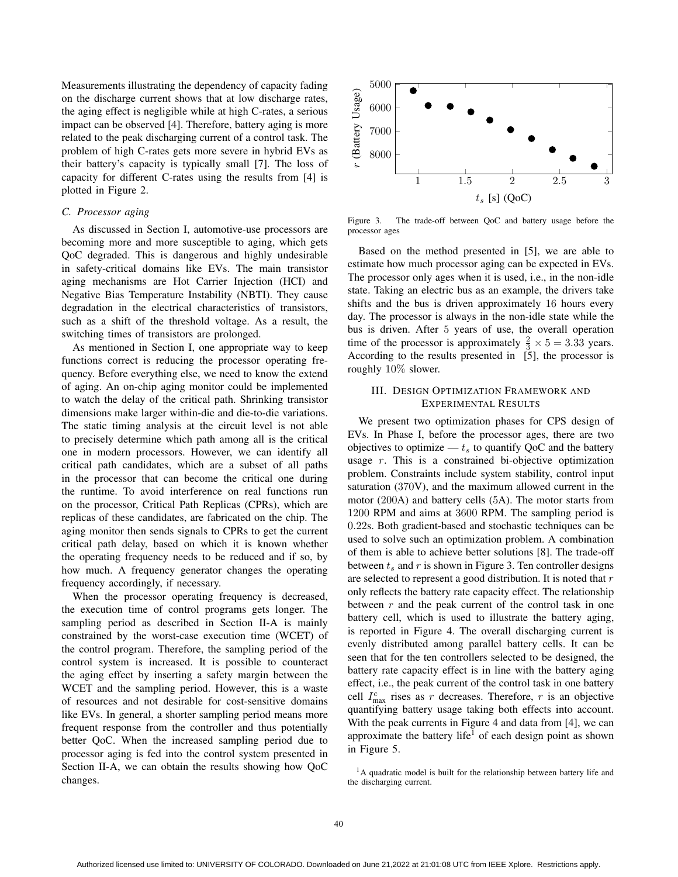Measurements illustrating the dependency of capacity fading on the discharge current shows that at low discharge rates, the aging effect is negligible while at high C-rates, a serious impact can be observed [4]. Therefore, battery aging is more related to the peak discharging current of a control task. The problem of high C-rates gets more severe in hybrid EVs as their battery's capacity is typically small [7]. The loss of capacity for different C-rates using the results from [4] is plotted in Figure 2.

### *C. Processor aging*

As discussed in Section I, automotive-use processors are becoming more and more susceptible to aging, which gets QoC degraded. This is dangerous and highly undesirable in safety-critical domains like EVs. The main transistor aging mechanisms are Hot Carrier Injection (HCI) and Negative Bias Temperature Instability (NBTI). They cause degradation in the electrical characteristics of transistors, such as a shift of the threshold voltage. As a result, the switching times of transistors are prolonged.

As mentioned in Section I, one appropriate way to keep functions correct is reducing the processor operating frequency. Before everything else, we need to know the extend of aging. An on-chip aging monitor could be implemented to watch the delay of the critical path. Shrinking transistor dimensions make larger within-die and die-to-die variations. The static timing analysis at the circuit level is not able to precisely determine which path among all is the critical one in modern processors. However, we can identify all critical path candidates, which are a subset of all paths in the processor that can become the critical one during the runtime. To avoid interference on real functions run on the processor, Critical Path Replicas (CPRs), which are replicas of these candidates, are fabricated on the chip. The aging monitor then sends signals to CPRs to get the current critical path delay, based on which it is known whether the operating frequency needs to be reduced and if so, by how much. A frequency generator changes the operating frequency accordingly, if necessary.

When the processor operating frequency is decreased, the execution time of control programs gets longer. The sampling period as described in Section II-A is mainly constrained by the worst-case execution time (WCET) of the control program. Therefore, the sampling period of the control system is increased. It is possible to counteract the aging effect by inserting a safety margin between the WCET and the sampling period. However, this is a waste of resources and not desirable for cost-sensitive domains like EVs. In general, a shorter sampling period means more frequent response from the controller and thus potentially better QoC. When the increased sampling period due to processor aging is fed into the control system presented in Section II-A, we can obtain the results showing how QoC changes.



Figure 3. The trade-off between QoC and battery usage before the processor ages

Based on the method presented in [5], we are able to estimate how much processor aging can be expected in EVs. The processor only ages when it is used, i.e., in the non-idle state. Taking an electric bus as an example, the drivers take shifts and the bus is driven approximately 16 hours every day. The processor is always in the non-idle state while the bus is driven. After 5 years of use, the overall operation time of the processor is approximately  $\frac{2}{3} \times 5 = 3.33$  years. According to the results presented in [5], the processor is roughly 10% slower.

# III. DESIGN OPTIMIZATION FRAMEWORK AND EXPERIMENTAL RESULTS

We present two optimization phases for CPS design of EVs. In Phase I, before the processor ages, there are two objectives to optimize  $-t_s$  to quantify QoC and the battery usage  $r$ . This is a constrained bi-objective optimization problem. Constraints include system stability, control input saturation (370V), and the maximum allowed current in the motor (200A) and battery cells (5A). The motor starts from 1200 RPM and aims at 3600 RPM. The sampling period is 0.22s. Both gradient-based and stochastic techniques can be used to solve such an optimization problem. A combination of them is able to achieve better solutions [8]. The trade-off between  $t_s$  and r is shown in Figure 3. Ten controller designs are selected to represent a good distribution. It is noted that  $r$ only reflects the battery rate capacity effect. The relationship between  $r$  and the peak current of the control task in one battery cell, which is used to illustrate the battery aging, is reported in Figure 4. The overall discharging current is evenly distributed among parallel battery cells. It can be seen that for the ten controllers selected to be designed, the battery rate capacity effect is in line with the battery aging effect, i.e., the peak current of the control task in one battery cell  $I_{\text{max}}^c$  rises as r decreases. Therefore, r is an objective quantifying battery usage taking both effects into account. With the peak currents in Figure 4 and data from [4], we can approximate the battery life<sup>1</sup> of each design point as shown in Figure 5.

<sup>&</sup>lt;sup>1</sup>A quadratic model is built for the relationship between battery life and the discharging current.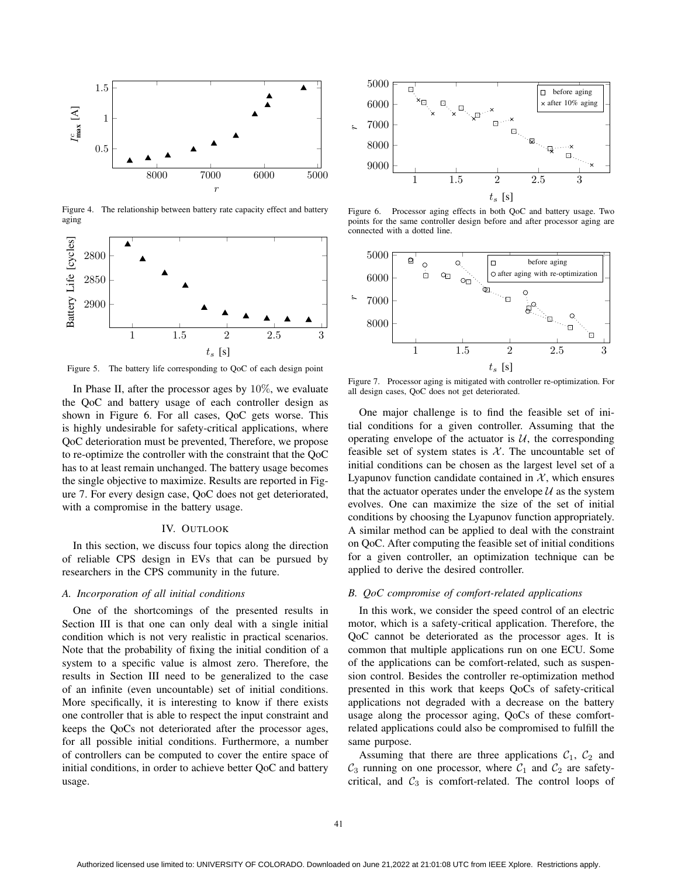

Figure 4. The relationship between battery rate capacity effect and battery aging



Figure 5. The battery life corresponding to QoC of each design point

In Phase II, after the processor ages by 10%, we evaluate the QoC and battery usage of each controller design as shown in Figure 6. For all cases, QoC gets worse. This is highly undesirable for safety-critical applications, where QoC deterioration must be prevented, Therefore, we propose to re-optimize the controller with the constraint that the QoC has to at least remain unchanged. The battery usage becomes the single objective to maximize. Results are reported in Figure 7. For every design case, QoC does not get deteriorated, with a compromise in the battery usage.

# IV. OUTLOOK

In this section, we discuss four topics along the direction of reliable CPS design in EVs that can be pursued by researchers in the CPS community in the future.

## *A. Incorporation of all initial conditions*

One of the shortcomings of the presented results in Section III is that one can only deal with a single initial condition which is not very realistic in practical scenarios. Note that the probability of fixing the initial condition of a system to a specific value is almost zero. Therefore, the results in Section III need to be generalized to the case of an infinite (even uncountable) set of initial conditions. More specifically, it is interesting to know if there exists one controller that is able to respect the input constraint and keeps the QoCs not deteriorated after the processor ages, for all possible initial conditions. Furthermore, a number of controllers can be computed to cover the entire space of initial conditions, in order to achieve better QoC and battery usage.



Figure 6. Processor aging effects in both QoC and battery usage. Two points for the same controller design before and after processor aging are connected with a dotted line.



Figure 7. Processor aging is mitigated with controller re-optimization. For all design cases, QoC does not get deteriorated.

One major challenge is to find the feasible set of initial conditions for a given controller. Assuming that the operating envelope of the actuator is  $U$ , the corresponding feasible set of system states is  $X$ . The uncountable set of initial conditions can be chosen as the largest level set of a Lyapunov function candidate contained in  $X$ , which ensures that the actuator operates under the envelope  $U$  as the system evolves. One can maximize the size of the set of initial conditions by choosing the Lyapunov function appropriately. A similar method can be applied to deal with the constraint on QoC. After computing the feasible set of initial conditions for a given controller, an optimization technique can be applied to derive the desired controller.

#### *B. QoC compromise of comfort-related applications*

In this work, we consider the speed control of an electric motor, which is a safety-critical application. Therefore, the QoC cannot be deteriorated as the processor ages. It is common that multiple applications run on one ECU. Some of the applications can be comfort-related, such as suspension control. Besides the controller re-optimization method presented in this work that keeps QoCs of safety-critical applications not degraded with a decrease on the battery usage along the processor aging, QoCs of these comfortrelated applications could also be compromised to fulfill the same purpose.

Assuming that there are three applications  $C_1$ ,  $C_2$  and  $C_3$  running on one processor, where  $C_1$  and  $C_2$  are safetycritical, and  $C_3$  is comfort-related. The control loops of